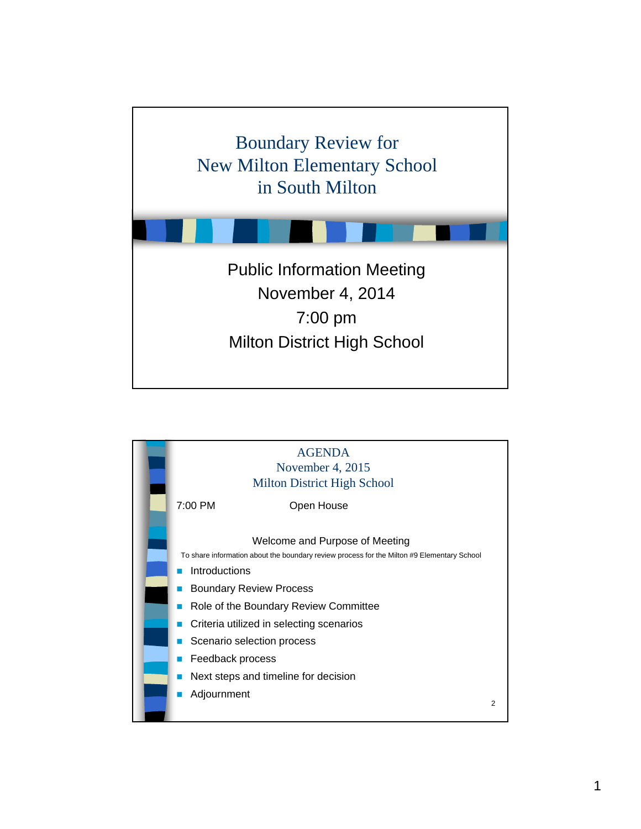

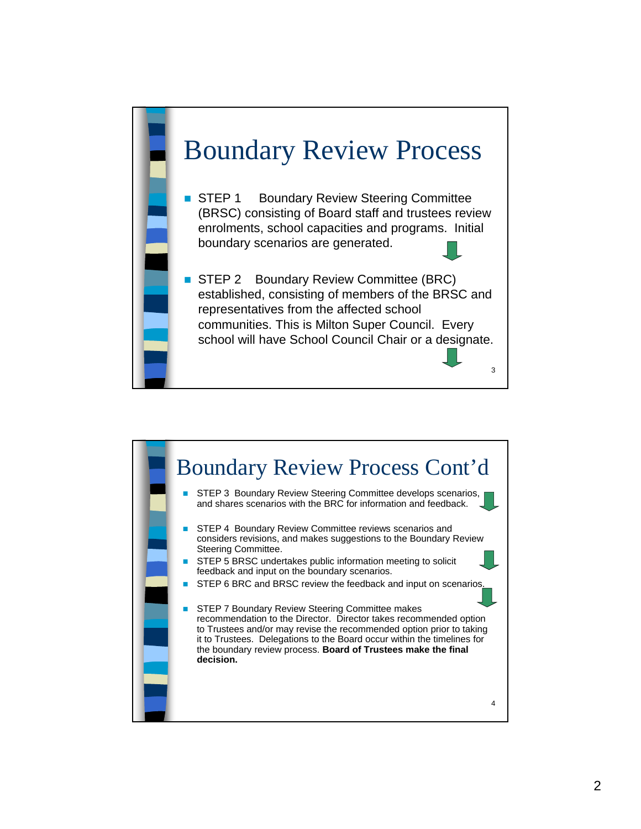

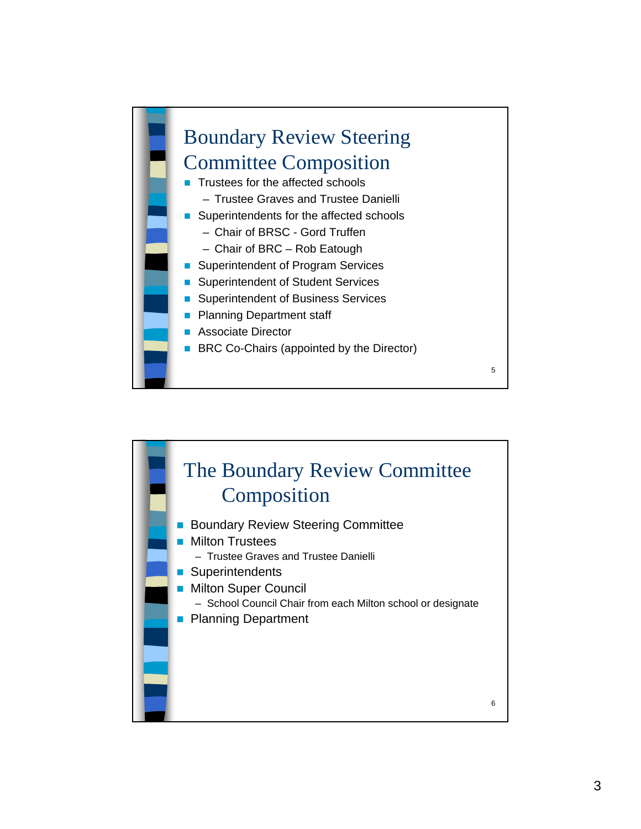

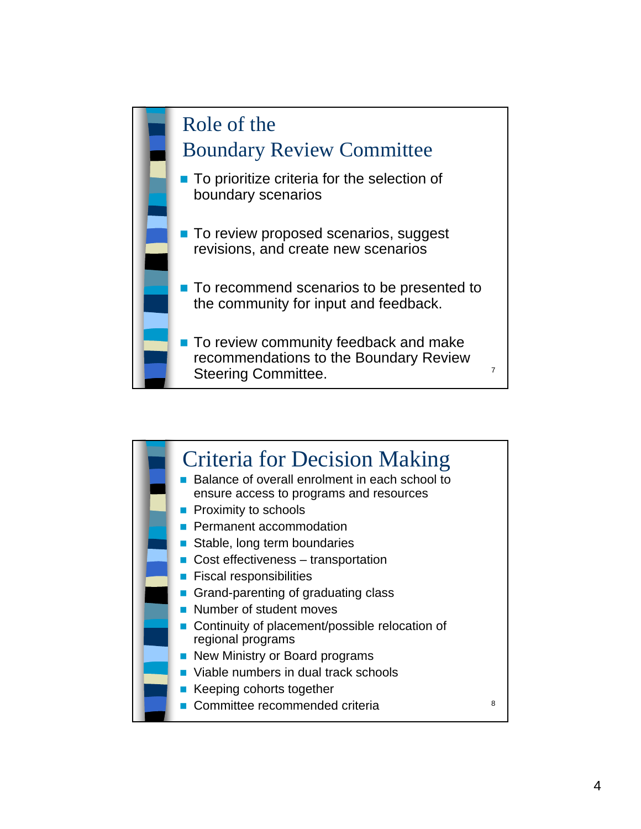

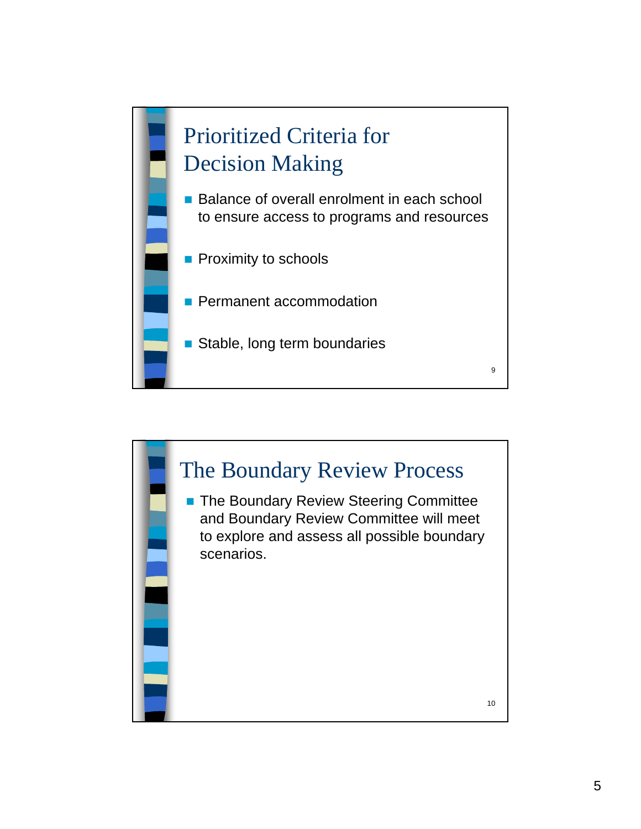

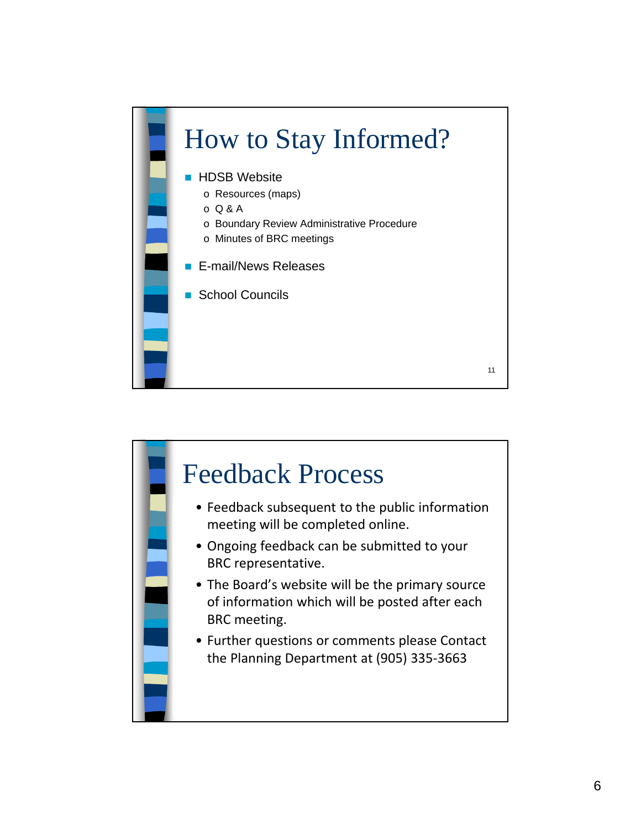

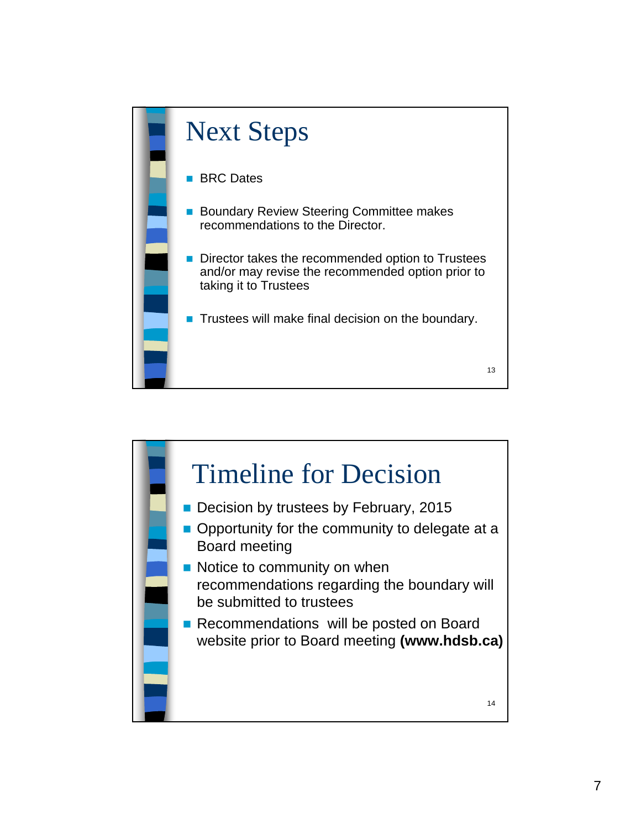